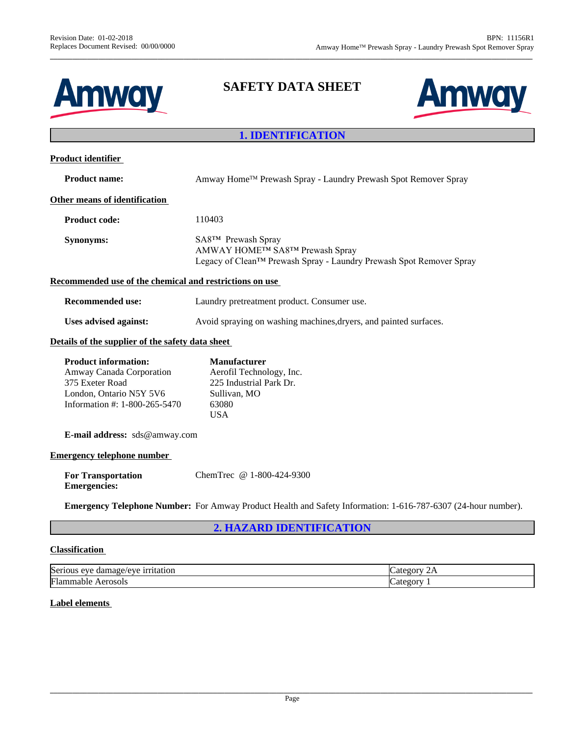



# **1. IDENTIFICATION**

| <b>Product identifier</b>                                                                                                              |                                                                                                                             |  |
|----------------------------------------------------------------------------------------------------------------------------------------|-----------------------------------------------------------------------------------------------------------------------------|--|
| <b>Product name:</b>                                                                                                                   | Amway Home™ Prewash Spray - Laundry Prewash Spot Remover Spray                                                              |  |
| Other means of identification                                                                                                          |                                                                                                                             |  |
| <b>Product code:</b>                                                                                                                   | 110403                                                                                                                      |  |
| <b>Synonyms:</b>                                                                                                                       | SA8™ Prewash Spray<br>AMWAY HOME™ SA8™ Prewash Spray<br>Legacy of Clean™ Prewash Spray - Laundry Prewash Spot Remover Spray |  |
| Recommended use of the chemical and restrictions on use                                                                                |                                                                                                                             |  |
| <b>Recommended use:</b>                                                                                                                | Laundry pretreatment product. Consumer use.                                                                                 |  |
| <b>Uses advised against:</b>                                                                                                           | Avoid spraying on washing machines, dryers, and painted surfaces.                                                           |  |
| Details of the supplier of the safety data sheet                                                                                       |                                                                                                                             |  |
| <b>Product information:</b><br>Amway Canada Corporation<br>375 Exeter Road<br>London, Ontario N5Y 5V6<br>Information #: 1-800-265-5470 | <b>Manufacturer</b><br>Aerofil Technology, Inc.<br>225 Industrial Park Dr.<br>Sullivan, MO<br>63080<br><b>USA</b>           |  |
| E-mail address: sds@amway.com                                                                                                          |                                                                                                                             |  |
| <b>Emergency telephone number</b>                                                                                                      |                                                                                                                             |  |
| <b>For Transportation</b><br><b>Emergencies:</b>                                                                                       | ChemTrec @ 1-800-424-9300                                                                                                   |  |
|                                                                                                                                        | <b>Emergency Telephone Number:</b> For Amway Product Health and Safety Information: 1-616-787-6307 (24-hour number).        |  |
|                                                                                                                                        | <b>2. HAZARD IDENTIFICATION</b>                                                                                             |  |

# **Classification**

| eve<br>$ -$<br>Serio<br>tatıon<br>٢٥٦٢<br>aa.<br>11 I C<br>nage | . . |
|-----------------------------------------------------------------|-----|
| تصرا<br>Aerosols<br>⊩lan<br>паріе                               |     |

### **Label elements**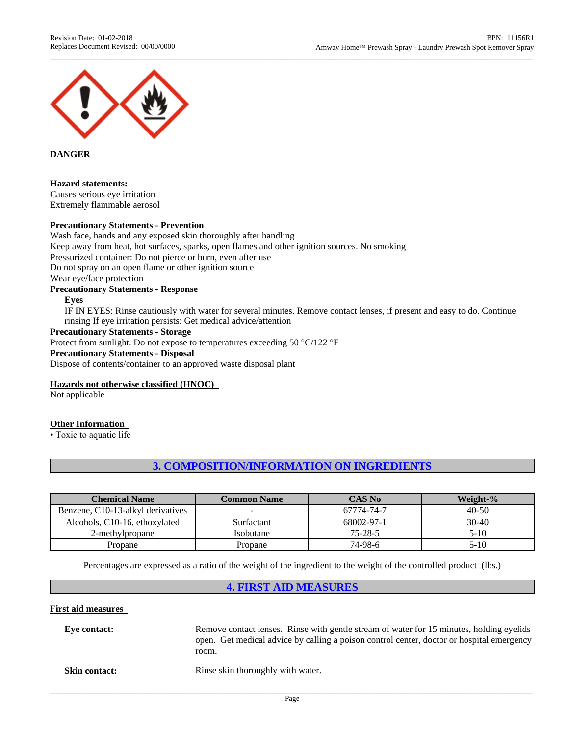

### **DANGER**

### **Hazard statements:**

Causes serious eye irritation Extremely flammable aerosol

### **Precautionary Statements - Prevention**

Wash face, hands and any exposed skin thoroughly after handling Keep away from heat, hot surfaces, sparks, open flames and other ignition sources. No smoking Pressurized container: Do not pierce or burn, even after use Do not spray on an open flame or other ignition source

Wear eye/face protection

#### **Precautionary Statements - Response**

**Eyes**

IF IN EYES: Rinse cautiously with water for several minutes. Remove contactlenses, if present and easy to do. Continue rinsing If eye irritation persists: Get medical advice/attention

## **Precautionary Statements - Storage**

Protect from sunlight. Do not expose to temperatures exceeding 50 °C/122 °F

#### **Precautionary Statements - Disposal**

Dispose of contents/container to an approved waste disposal plant

#### **Hazards not otherwise classified (HNOC)**

Not applicable

#### **Other Information**

• Toxic to aquatic life

# **3. COMPOSITION/INFORMATION ON INGREDIENTS**

| <b>Chemical Name</b>              | <b>Common Name</b> | <b>CAS No</b> | Weight-%  |
|-----------------------------------|--------------------|---------------|-----------|
| Benzene, C10-13-alkyl derivatives |                    | 67774-74-7    | $40 - 50$ |
| Alcohols, C10-16, ethoxylated     | Surfactant         | 68002-97-1    | $30-40$   |
| 2-methylpropane                   | Isobutane          | $75 - 28 - 5$ | 5-10      |
| Propane                           | Propane            | 74-98-6       | 5-10      |

Percentages are expressed as a ratio of the weight of the ingredient to the weight of the controlled product (lbs.)

### **4. FIRST AID MEASURES**

### **First aid measures**

| Eve contact:         | Remove contact lenses. Rinse with gentle stream of water for 15 minutes, holding eyelids<br>open. Get medical advice by calling a poison control center, doctor or hospital emergency<br>room. |
|----------------------|------------------------------------------------------------------------------------------------------------------------------------------------------------------------------------------------|
| <b>Skin contact:</b> | Rinse skin thoroughly with water.                                                                                                                                                              |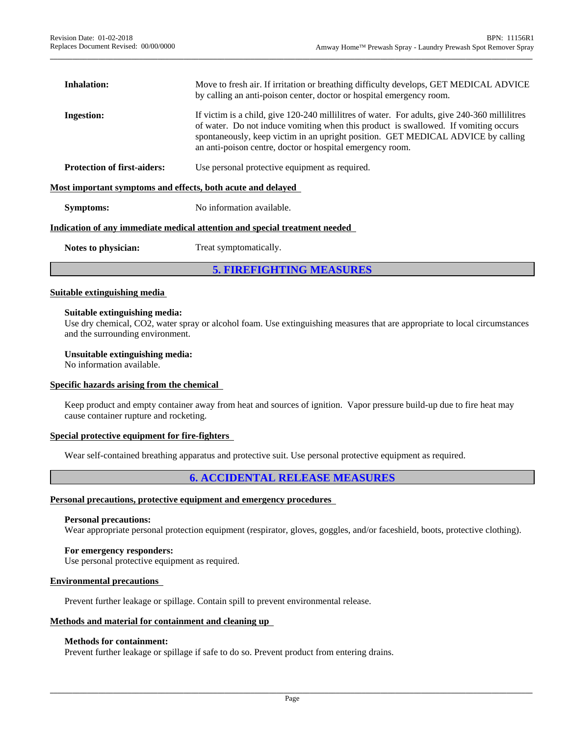| <b>Inhalation:</b>                                          | Move to fresh air. If irritation or breathing difficulty develops, GET MEDICAL ADVICE<br>by calling an anti-poison center, doctor or hospital emergency room.                                                                                                                                                                         |
|-------------------------------------------------------------|---------------------------------------------------------------------------------------------------------------------------------------------------------------------------------------------------------------------------------------------------------------------------------------------------------------------------------------|
| <b>Ingestion:</b>                                           | If victim is a child, give 120-240 millilities of water. For adults, give 240-360 millilities<br>of water. Do not induce vomiting when this product is swallowed. If vomiting occurs<br>spontaneously, keep victim in an upright position. GET MEDICAL ADVICE by calling<br>an anti-poison centre, doctor or hospital emergency room. |
| <b>Protection of first-aiders:</b>                          | Use personal protective equipment as required.                                                                                                                                                                                                                                                                                        |
| Most important symptoms and effects, both acute and delayed |                                                                                                                                                                                                                                                                                                                                       |
| <b>Symptoms:</b>                                            | No information available.                                                                                                                                                                                                                                                                                                             |
|                                                             | Indication of any immediate medical attention and special treatment needed                                                                                                                                                                                                                                                            |
| Notes to physician:                                         | Treat symptomatically.                                                                                                                                                                                                                                                                                                                |
|                                                             |                                                                                                                                                                                                                                                                                                                                       |

**5. FIREFIGHTING MEASURES**

### **Suitable extinguishing media**

### **Suitable extinguishing media:**

Use dry chemical, CO2, water spray or alcohol foam. Use extinguishing measures that are appropriate to local circumstances and the surrounding environment.

#### **Unsuitable extinguishing media:**

No information available.

#### **Specific hazards arising from the chemical**

Keep product and empty container away from heat and sources of ignition. Vapor pressure build-up due to fire heat may cause container rupture and rocketing.

### **Special protective equipment for fire-fighters**

Wear self-contained breathing apparatus and protective suit. Use personal protective equipment as required.

# **6. ACCIDENTAL RELEASE MEASURES**

#### **Personal precautions, protective equipment and emergency procedures**

#### **Personal precautions:**

Wear appropriate personal protection equipment (respirator, gloves, goggles, and/or faceshield, boots, protective clothing).

# **For emergency responders:**

Use personal protective equipment as required.

### **Environmental precautions**

Prevent further leakage or spillage. Contain spill to prevent environmental release.

#### **Methods and material for containment and cleaning up**

#### **Methods for containment:**

Prevent further leakage or spillage if safe to do so. Prevent product from entering drains.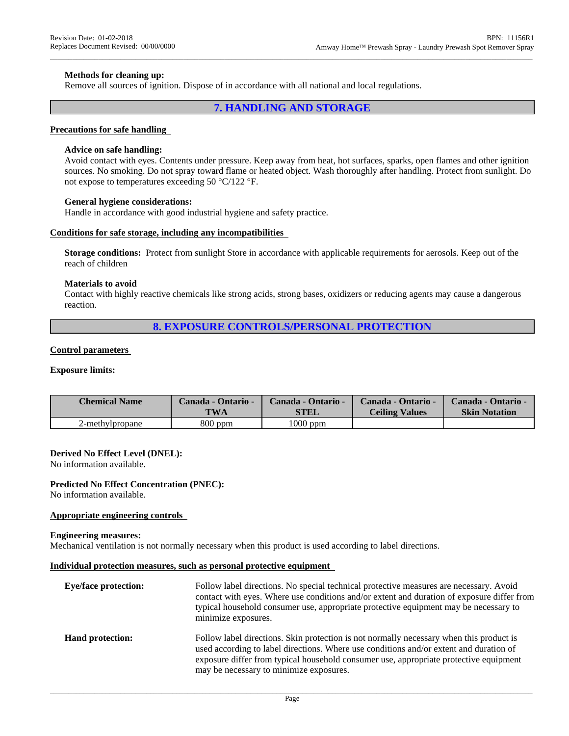### **Methods for cleaning up:**

Remove all sources of ignition. Dispose of in accordance with all national and local regulations.

### **7. HANDLING AND STORAGE**

#### **Precautions for safe handling**

#### **Advice on safe handling:**

Avoid contact with eyes. Contents under pressure. Keep away from heat, hot surfaces, sparks, open flames and other ignition sources. No smoking. Do not spray toward flame or heated object. Wash thoroughly after handling. Protect from sunlight. Do not expose to temperatures exceeding 50 °C/122 °F.

#### **General hygiene considerations:**

Handle in accordance with good industrial hygiene and safety practice.

#### **Conditions for safe storage,including any incompatibilities**

**Storage conditions:** Protect from sunlight Store in accordance with applicable requirements for aerosols. Keep out of the reach of children

#### **Materials to avoid**

Contact with highly reactive chemicals like strong acids, strong bases, oxidizers orreducing agents may cause a dangerous reaction.

### **8. EXPOSURE CONTROLS/PERSONAL PROTECTION**

#### **Control parameters**

#### **Exposure limits:**

| <b>Chemical Name</b> | Canada - Ontario - | Canada - Ontario - | Canada - Ontario -    | Canada - Ontario -   |
|----------------------|--------------------|--------------------|-----------------------|----------------------|
|                      | <b>TWA</b>         | STEL               | <b>Ceiling Values</b> | <b>Skin Notation</b> |
| 2-methylpropane      | $800$ ppm          | $1000$ ppm         |                       |                      |

#### **Derived No Effect Level (DNEL):**

No information available.

#### **Predicted No Effect Concentration (PNEC):**

No information available.

### **Appropriate engineering controls**

#### **Engineering measures:**

Mechanical ventilation is not normally necessary when this product is used according to label directions.

#### **Individual protection measures, such as personal protective equipment**

| <b>Eye/face protection:</b> | Follow label directions. No special technical protective measures are necessary. Avoid<br>contact with eyes. Where use conditions and/or extent and duration of exposure differ from<br>typical household consumer use, appropriate protective equipment may be necessary to<br>minimize exposures.                   |
|-----------------------------|-----------------------------------------------------------------------------------------------------------------------------------------------------------------------------------------------------------------------------------------------------------------------------------------------------------------------|
| <b>Hand protection:</b>     | Follow label directions. Skin protection is not normally necessary when this product is<br>used according to label directions. Where use conditions and/or extent and duration of<br>exposure differ from typical household consumer use, appropriate protective equipment<br>may be necessary to minimize exposures. |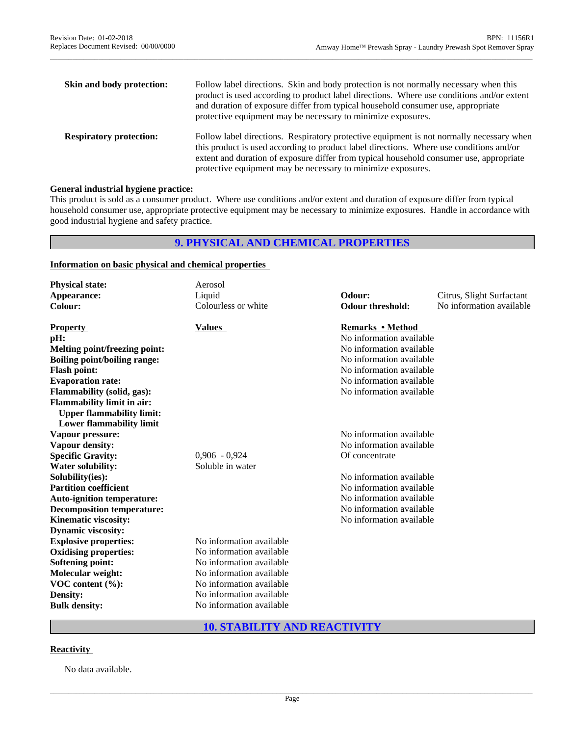| Skin and body protection:      | Follow label directions. Skin and body protection is not normally necessary when this<br>product is used according to product label directions. Where use conditions and/or extent<br>and duration of exposure differ from typical household consumer use, appropriate<br>protective equipment may be necessary to minimize exposures.         |
|--------------------------------|------------------------------------------------------------------------------------------------------------------------------------------------------------------------------------------------------------------------------------------------------------------------------------------------------------------------------------------------|
| <b>Respiratory protection:</b> | Follow label directions. Respiratory protective equipment is not normally necessary when<br>this product is used according to product label directions. Where use conditions and/or<br>extent and duration of exposure differ from typical household consumer use, appropriate<br>protective equipment may be necessary to minimize exposures. |

### **General industrial hygiene practice:**

This product is sold as a consumer product. Where use conditions and/or extent and duration of exposure differ from typical household consumer use, appropriate protective equipment may be necessary to minimize exposures. Handle in accordance with good industrial hygiene and safety practice.

# **9. PHYSICAL AND CHEMICAL PROPERTIES**

### **Information on basic physical and chemical properties**

| <b>Physical state:</b>               | Aerosol                  |                          |                           |
|--------------------------------------|--------------------------|--------------------------|---------------------------|
| Appearance:                          | Liquid                   | Odour:                   | Citrus, Slight Surfactant |
| Colour:                              | Colourless or white      | <b>Odour threshold:</b>  | No information available  |
| <b>Property</b>                      | <b>Values</b>            | <b>Remarks • Method</b>  |                           |
| pH:                                  |                          | No information available |                           |
| <b>Melting point/freezing point:</b> |                          | No information available |                           |
| <b>Boiling point/boiling range:</b>  |                          | No information available |                           |
| <b>Flash point:</b>                  |                          | No information available |                           |
| <b>Evaporation rate:</b>             |                          | No information available |                           |
| <b>Flammability (solid, gas):</b>    |                          | No information available |                           |
| <b>Flammability limit in air:</b>    |                          |                          |                           |
| <b>Upper flammability limit:</b>     |                          |                          |                           |
| <b>Lower flammability limit</b>      |                          |                          |                           |
| Vapour pressure:                     |                          | No information available |                           |
| Vapour density:                      |                          | No information available |                           |
| <b>Specific Gravity:</b>             | $0,906 - 0,924$          | Of concentrate           |                           |
| <b>Water solubility:</b>             | Soluble in water         |                          |                           |
| Solubility(ies):                     |                          | No information available |                           |
| <b>Partition coefficient</b>         |                          | No information available |                           |
| <b>Auto-ignition temperature:</b>    |                          | No information available |                           |
| <b>Decomposition temperature:</b>    |                          | No information available |                           |
| <b>Kinematic viscosity:</b>          |                          | No information available |                           |
| <b>Dynamic viscosity:</b>            |                          |                          |                           |
| <b>Explosive properties:</b>         | No information available |                          |                           |
| <b>Oxidising properties:</b>         | No information available |                          |                           |
| <b>Softening point:</b>              | No information available |                          |                           |
| Molecular weight:                    | No information available |                          |                           |
| VOC content (%):                     | No information available |                          |                           |
| <b>Density:</b>                      | No information available |                          |                           |
| <b>Bulk density:</b>                 | No information available |                          |                           |
|                                      |                          |                          |                           |

# **10. STABILITY AND REACTIVITY**

# **Reactivity**

No data available.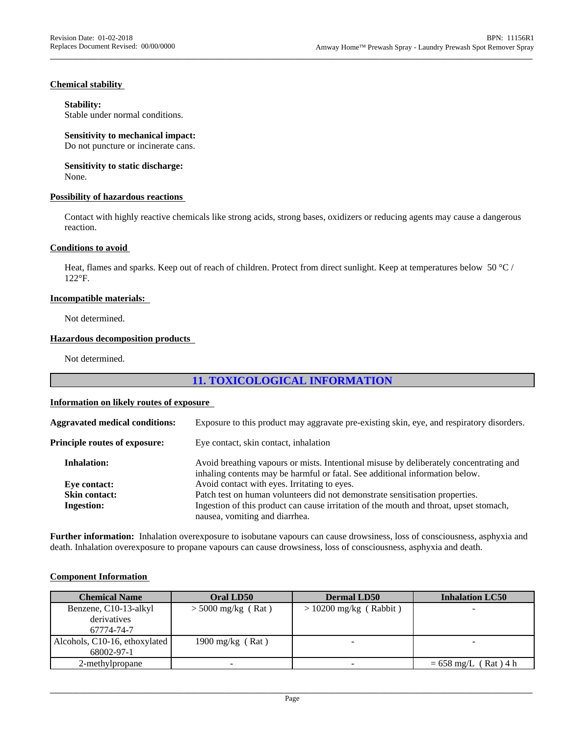### **Chemical stability**

### **Stability:**

Stable under normal conditions.

### **Sensitivity to mechanical impact:**

Do not puncture or incinerate cans.

#### **Sensitivity to static discharge:** None.

### **Possibility of hazardous reactions**

Contact with highly reactive chemicals like strong acids, strong bases, oxidizers orreducing agents may cause a dangerous reaction.

### **Conditions to avoid**

Heat, flames and sparks. Keep out of reach of children. Protect from direct sunlight. Keep at temperatures below 50  $^{\circ}$ C / 122°F.

### **Incompatible materials:**

Not determined.

### **Hazardous decomposition products**

Not determined.

# **11. TOXICOLOGICAL INFORMATION**

### **Information on likely routes of exposure**

| <b>Aggravated medical conditions:</b> | Exposure to this product may aggravate pre-existing skin, eye, and respiratory disorders.                                                                              |
|---------------------------------------|------------------------------------------------------------------------------------------------------------------------------------------------------------------------|
| Principle routes of exposure:         | Eye contact, skin contact, inhalation                                                                                                                                  |
| <b>Inhalation:</b>                    | Avoid breathing vapours or mists. Intentional misuse by deliberately concentrating and<br>inhaling contents may be harmful or fatal. See additional information below. |
| Eye contact:                          | Avoid contact with eyes. Irritating to eyes.                                                                                                                           |
| <b>Skin contact:</b>                  | Patch test on human volunteers did not demonstrate sensitisation properties.                                                                                           |
| <b>Ingestion:</b>                     | Ingestion of this product can cause irritation of the mouth and throat, upset stomach,                                                                                 |
|                                       | nausea, vomiting and diarrhea.                                                                                                                                         |

Further information: Inhalation overexposure to isobutane vapours can cause drowsiness, loss of consciousness, asphyxia and death. Inhalation overexposure to propane vapours can cause drowsiness, loss of consciousness, asphyxia and death.

### **Component Information**

| <b>Chemical Name</b>          | Oral LD50            | <b>Dermal LD50</b>       | <b>Inhalation LC50</b>         |
|-------------------------------|----------------------|--------------------------|--------------------------------|
| Benzene, C10-13-alkyl         | $>$ 5000 mg/kg (Rat) | $> 10200$ mg/kg (Rabbit) |                                |
| derivatives                   |                      |                          |                                |
| 67774-74-7                    |                      |                          |                                |
| Alcohols, C10-16, ethoxylated | 1900 mg/kg $(Rat)$   |                          |                                |
| 68002-97-1                    |                      |                          |                                |
| 2-methylpropane               | -                    |                          | $= 658 \text{ mg/L}$ (Rat) 4 h |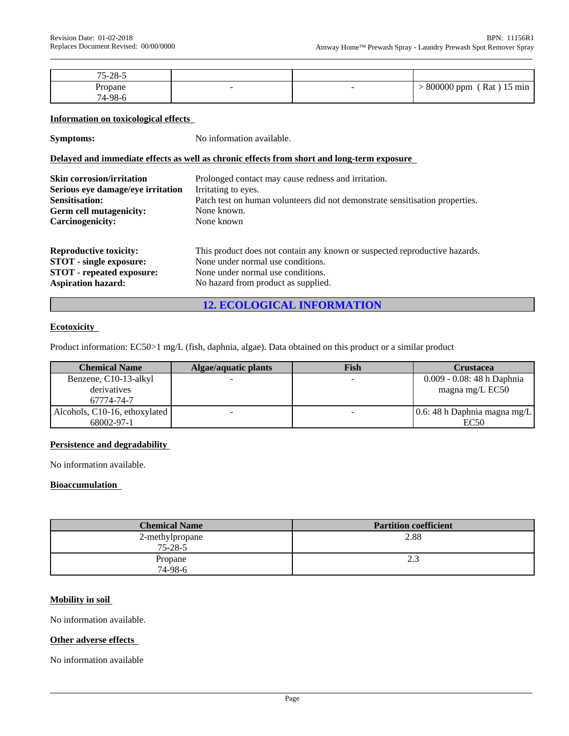| $75 - 28 - 5$        |  |                                            |
|----------------------|--|--------------------------------------------|
| Propane<br>$74-98-6$ |  | 800000 ppm<br>Rat<br>$15 \text{ min}$<br>. |

#### **Information on toxicological effects**

**Symptoms:** No information available.

### **Delayed and immediate effects as well as chronic effects from short and long-term exposure**

| <b>Skin corrosion/irritation</b>  | Prolonged contact may cause redness and irritation.                          |
|-----------------------------------|------------------------------------------------------------------------------|
| Serious eye damage/eye irritation | Irritating to eyes.                                                          |
| <b>Sensitisation:</b>             | Patch test on human volunteers did not demonstrate sensitisation properties. |
| Germ cell mutagenicity:           | None known.                                                                  |
| Carcinogenicity:                  | None known                                                                   |
| <b>Reproductive toxicity:</b>     | This product does not contain any known or suspected reproductive hazards.   |
| <b>STOT</b> - single exposure:    | None under normal use conditions.                                            |
| <b>STOT</b> - repeated exposure:  | None under normal use conditions.                                            |
| <b>Aspiration hazard:</b>         | No hazard from product as supplied.                                          |

# **12. ECOLOGICAL INFORMATION**

# **Ecotoxicity**

Product information: EC50>1 mg/L (fish, daphnia, algae). Data obtained on this product or a similar product

| <b>Chemical Name</b>          | Algae/aquatic plants | Fish                     | Crustacea                    |
|-------------------------------|----------------------|--------------------------|------------------------------|
| Benzene, C10-13-alkyl         |                      | $\overline{\phantom{a}}$ | 0.009 - 0.08: 48 h Daphnia   |
| derivatives                   |                      |                          | magna mg/L EC50              |
| 67774-74-7                    |                      |                          |                              |
| Alcohols, C10-16, ethoxylated |                      |                          | $0.6:48h$ Daphnia magna mg/L |
| 68002-97-1                    |                      |                          | EC50                         |

### **Persistence and degradability**

No information available.

### **Bioaccumulation**

| <b>Chemical Name</b>             | <b>Partition coefficient</b> |
|----------------------------------|------------------------------|
| 2-methylpropane<br>$75 - 28 - 5$ | 2.88                         |
| Propane<br>74-98-6               | 2.3                          |

### **Mobility in soil**

No information available.

### **Other adverse effects**

No information available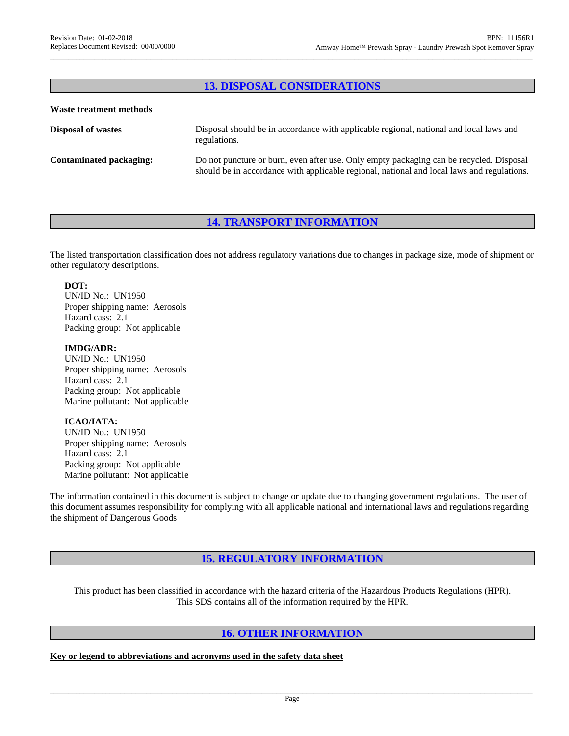# **13. DISPOSAL CONSIDERATIONS**

### **Waste treatment methods**

| <b>Disposal of wastes</b>      | Disposal should be in accordance with applicable regional, national and local laws and<br>regulations.                                                                                |
|--------------------------------|---------------------------------------------------------------------------------------------------------------------------------------------------------------------------------------|
| <b>Contaminated packaging:</b> | Do not puncture or burn, even after use. Only empty packaging can be recycled. Disposal<br>should be in accordance with applicable regional, national and local laws and regulations. |

# **14. TRANSPORT INFORMATION**

The listed transportation classification doesnot address regulatory variations due to changes in package size, mode of shipment or other regulatory descriptions.

### **DOT:**

UN/ID No.: UN1950 Proper shipping name: Aerosols Hazard cass: 2.1 Packing group: Not applicable

### **IMDG/ADR:**

UN/ID No.: UN1950 Proper shipping name: Aerosols Hazard cass: 2.1 Packing group: Not applicable Marine pollutant: Not applicable

# **ICAO/IATA:**

UN/ID No.: UN1950 Proper shipping name: Aerosols Hazard cass: 2.1 Packing group: Not applicable Marine pollutant: Not applicable

The information contained in this document is subject to change or update due to changing government regulations. The user of this document assumes responsibility for complying with all applicable national and international laws and regulations regarding the shipment of Dangerous Goods

# **15. REGULATORY INFORMATION**

This product has been classified in accordance with the hazard criteria of the Hazardous Products Regulations (HPR). This SDS contains all of the information required by the HPR.

# **16. OTHER INFORMATION**

**Key or legend toabbreviations and acronyms used in the safety data sheet**